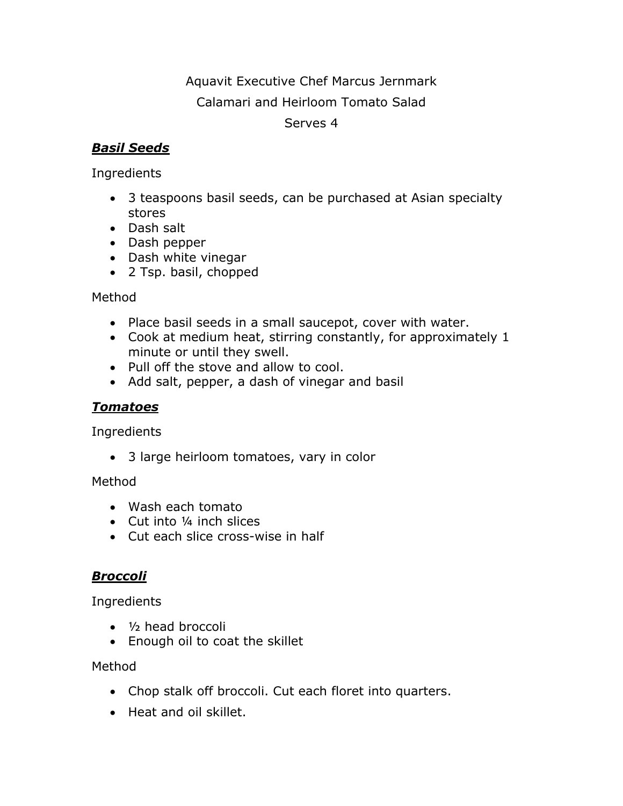# Aquavit Executive Chef Marcus Jernmark

# Calamari and Heirloom Tomato Salad

#### Serves 4

## *Basil Seeds*

Ingredients

- 3 teaspoons basil seeds, can be purchased at Asian specialty stores
- Dash salt
- Dash pepper
- Dash white vinegar
- 2 Tsp. basil, chopped

## Method

- Place basil seeds in a small saucepot, cover with water.
- Cook at medium heat, stirring constantly, for approximately 1 minute or until they swell.
- Pull off the stove and allow to cool.
- Add salt, pepper, a dash of vinegar and basil

## *Tomatoes*

Ingredients

3 large heirloom tomatoes, vary in color

## Method

- Wash each tomato
- Cut into 1/4 inch slices
- Cut each slice cross-wise in half

## *Broccoli*

Ingredients

- 1/2 head broccoli
- Enough oil to coat the skillet

## Method

- Chop stalk off broccoli. Cut each floret into quarters.
- Heat and oil skillet.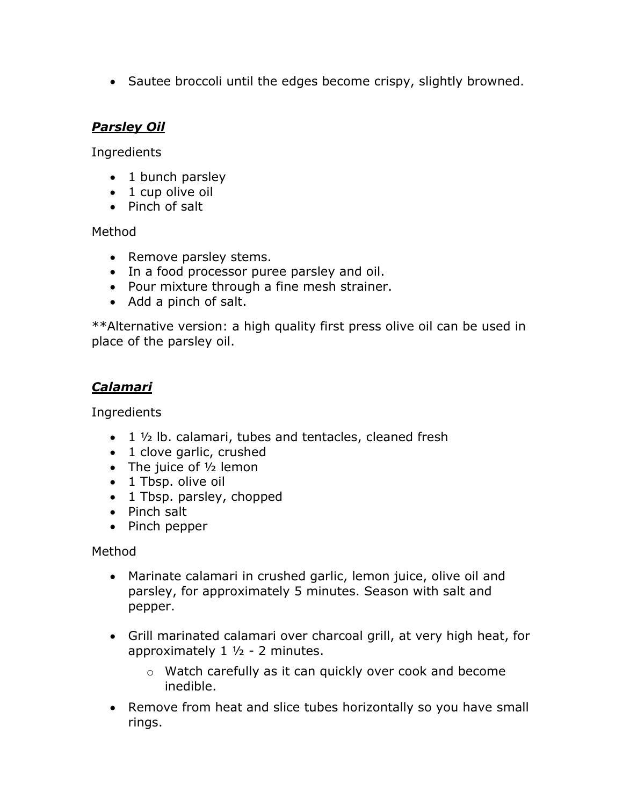• Sautee broccoli until the edges become crispy, slightly browned.

## *Parsley Oil*

Ingredients

- 1 bunch parsley
- 1 cup olive oil
- Pinch of salt

Method

- Remove parsley stems.
- In a food processor puree parsley and oil.
- Pour mixture through a fine mesh strainer.
- Add a pinch of salt.

\*\*Alternative version: a high quality first press olive oil can be used in place of the parsley oil.

# *Calamari*

Ingredients

- $\bullet$  1  $\frac{1}{2}$  lb. calamari, tubes and tentacles, cleaned fresh
- 1 clove garlic, crushed
- The juice of  $1/2$  lemon
- 1 Tbsp. olive oil
- 1 Tbsp. parsley, chopped
- Pinch salt
- Pinch pepper

Method

- Marinate calamari in crushed garlic, lemon juice, olive oil and parsley, for approximately 5 minutes. Season with salt and pepper.
- Grill marinated calamari over charcoal grill, at very high heat, for approximately  $1 \frac{1}{2}$  - 2 minutes.
	- o Watch carefully as it can quickly over cook and become inedible.
- Remove from heat and slice tubes horizontally so you have small rings.